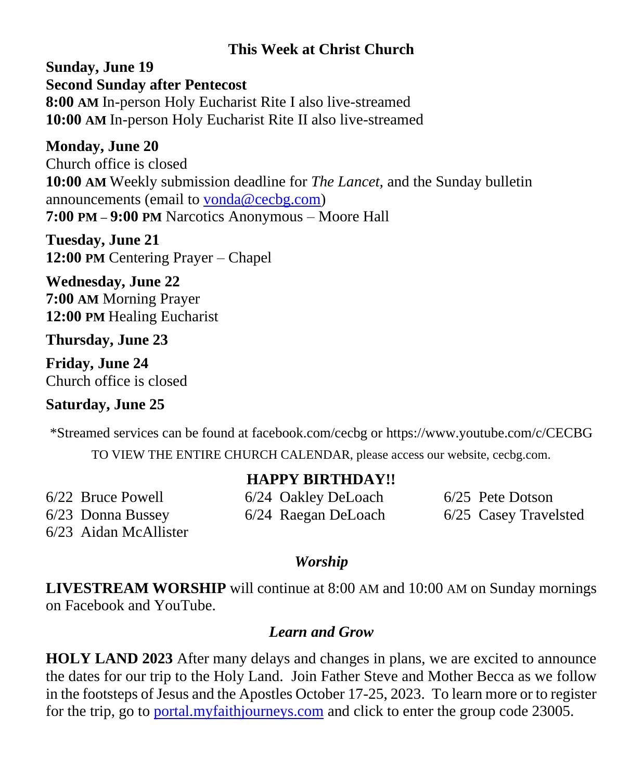## **This Week at Christ Church**

**Sunday, June 19 Second Sunday after Pentecost 8:00 AM** In-person Holy Eucharist Rite I also live-streamed **10:00 AM** In-person Holy Eucharist Rite II also live-streamed

#### **Monday, June 20**

Church office is closed **10:00 AM** Weekly submission deadline for *The Lancet,* and the Sunday bulletin announcements (email to [vonda@cecbg.com\)](mailto:vonda@cecbg.com) **7:00 PM – 9:00 PM** Narcotics Anonymous – Moore Hall

**Tuesday, June 21 12:00 PM** Centering Prayer – Chapel

**Wednesday, June 22 7:00 AM** Morning Prayer **12:00 PM** Healing Eucharist

### **Thursday, June 23**

**Friday, June 24** Church office is closed

## **Saturday, June 25**

\*Streamed services can be found at facebook.com/cecbg or https://www.youtube.com/c/CECBG TO VIEW THE ENTIRE CHURCH CALENDAR, please access our website, cecbg.com.

**HAPPY BIRTHDAY!!**

|                     | ПАРРІ DIKINDAI !!   |                       |
|---------------------|---------------------|-----------------------|
| 6/22 Bruce Powell   | 6/24 Oakley DeLoach | $6/25$ Pete Dotson    |
| $6/23$ Donna Bussey | 6/24 Raegan DeLoach | 6/25 Casey Travelsted |

6/23 Aidan McAllister

## *Worship*

**LIVESTREAM WORSHIP** will continue at 8:00 AM and 10:00 AM on Sunday mornings on Facebook and YouTube.

## *Learn and Grow*

**HOLY LAND 2023** After many delays and changes in plans, we are excited to announce the dates for our trip to the Holy Land. Join Father Steve and Mother Becca as we follow in the footsteps of Jesus and the Apostles October 17-25, 2023. To learn more or to register for the trip, go to [portal.myfaithjourneys.com](http://portal.myfaithjourneys.com/) and click to enter the group code 23005.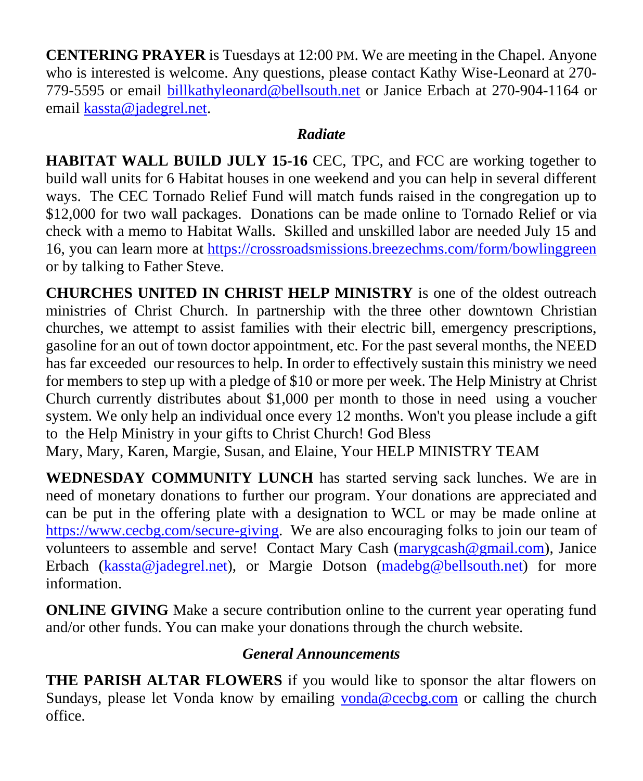**CENTERING PRAYER** is Tuesdays at 12:00 PM. We are meeting in the Chapel. Anyone who is interested is welcome. Any questions, please contact Kathy Wise-Leonard at 270- 779-5595 or email [billkathyleonard@bellsouth.net](mailto:billkathyleonard@bellsouth.net) or Janice Erbach at 270-904-1164 or email [kassta@jadegrel.net.](mailto:kassta@jadegrel.net)

## *Radiate*

**HABITAT WALL BUILD JULY 15-16** CEC, TPC, and FCC are working together to build wall units for 6 Habitat houses in one weekend and you can help in several different ways. The CEC Tornado Relief Fund will match funds raised in the congregation up to \$12,000 for two wall packages. Donations can be made online to Tornado Relief or via check with a memo to Habitat Walls. Skilled and unskilled labor are needed July 15 and 16, you can learn more at <https://crossroadsmissions.breezechms.com/form/bowlinggreen> or by talking to Father Steve.

**CHURCHES UNITED IN CHRIST HELP MINISTRY** is one of the oldest outreach ministries of Christ Church. In partnership with the three other downtown Christian churches, we attempt to assist families with their electric bill, emergency prescriptions, gasoline for an out of town doctor appointment, etc. For the past several months, the NEED has far exceeded our resources to help. In order to effectively sustain this ministry we need for members to step up with a pledge of \$10 or more per week. The Help Ministry at Christ Church currently distributes about \$1,000 per month to those in need using a voucher system. We only help an individual once every 12 months. Won't you please include a gift to the Help Ministry in your gifts to Christ Church! God Bless

Mary, Mary, Karen, Margie, Susan, and Elaine, Your HELP MINISTRY TEAM

**WEDNESDAY COMMUNITY LUNCH** has started serving sack lunches. We are in need of monetary donations to further our program. Your donations are appreciated and can be put in the offering plate with a designation to WCL or may be made online at [https://www.cecbg.com/secure-giving.](https://www.cecbg.com/secure-giving) We are also encouraging folks to join our team of volunteers to assemble and serve! Contact Mary Cash [\(marygcash@gmail.com\)](mailto:marygcash@gmail.com), Janice Erbach [\(kassta@jadegrel.net\)](mailto:kassta@jadegrel.net), or Margie Dotson [\(madebg@bellsouth.net\)](mailto:madebg@bellsouth.net) for more information.

**ONLINE GIVING** Make a secure contribution online to the current year operating fund and/or other funds. You can make your donations through the church website.

# *General Announcements*

**THE PARISH ALTAR FLOWERS** if you would like to sponsor the altar flowers on Sundays, please let Vonda know by emailing [vonda@cecbg.com](mailto:vonda@cecbg.com) or calling the church office.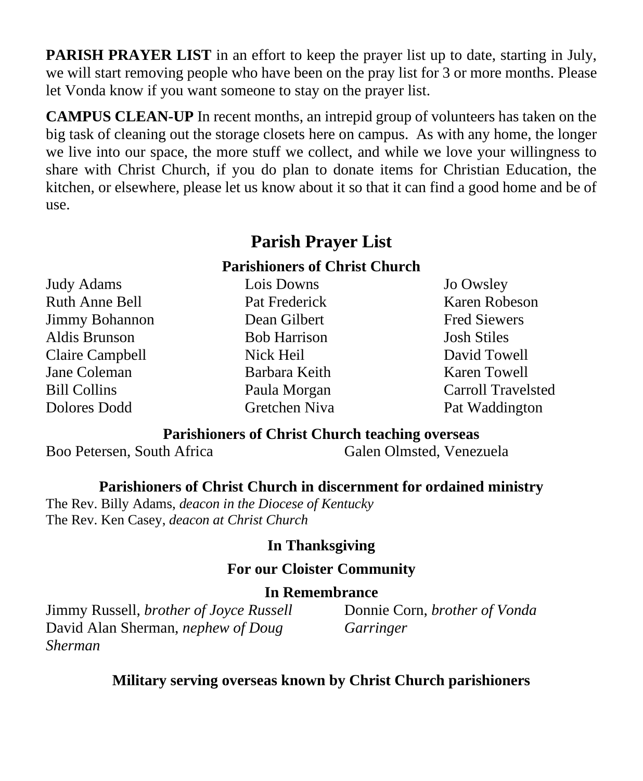**PARISH PRAYER LIST** in an effort to keep the prayer list up to date, starting in July, we will start removing people who have been on the pray list for 3 or more months. Please let Vonda know if you want someone to stay on the prayer list.

**CAMPUS CLEAN-UP** In recent months, an intrepid group of volunteers has taken on the big task of cleaning out the storage closets here on campus. As with any home, the longer we live into our space, the more stuff we collect, and while we love your willingness to share with Christ Church, if you do plan to donate items for Christian Education, the kitchen, or elsewhere, please let us know about it so that it can find a good home and be of use.

# **Parish Prayer List**

### **Parishioners of Christ Church**

Judy Adams Ruth Anne Bell Jimmy Bohannon Aldis Brunson Claire Campbell Jane Coleman Bill Collins Dolores Dodd

## Lois Downs Pat Frederick Dean Gilbert Bob Harrison Nick Heil Barbara Keith Paula Morgan Gretchen Niva

Jo Owsley Karen Robeson Fred Siewers Josh Stiles David Towell Karen Towell Carroll Travelsted Pat Waddington

#### **Parishioners of Christ Church teaching overseas**

Boo Petersen, South Africa Galen Olmsted, Venezuela

### **Parishioners of Christ Church in discernment for ordained ministry**

The Rev. Billy Adams, *deacon in the Diocese of Kentucky* The Rev. Ken Casey, *deacon at Christ Church*

#### **In Thanksgiving**

#### **For our Cloister Community**

#### **In Remembrance**

Jimmy Russell, *brother of Joyce Russell* David Alan Sherman, *nephew of Doug Sherman*

Donnie Corn, *brother of Vonda Garringer*

**Military serving overseas known by Christ Church parishioners**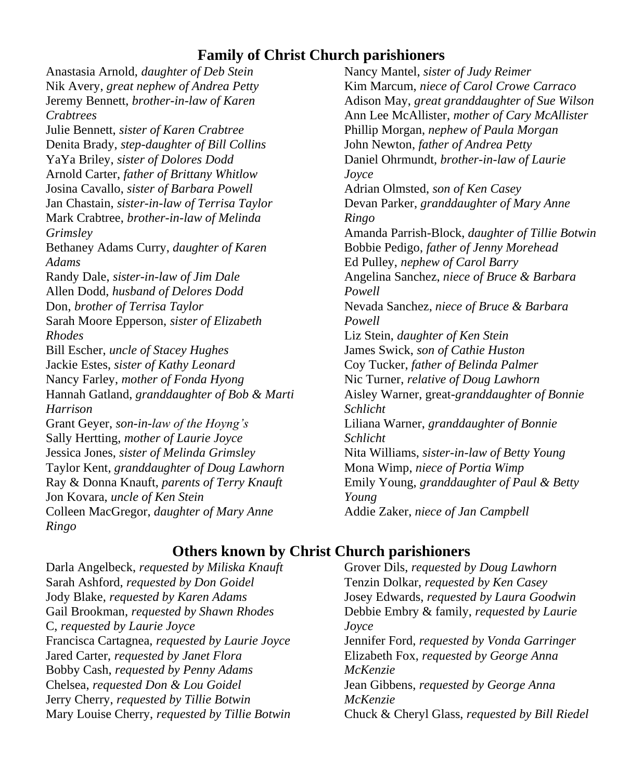### **Family of Christ Church parishioners**

Anastasia Arnold, *daughter of Deb Stein* Nik Avery, *great nephew of Andrea Petty* Jeremy Bennett, *brother-in-law of Karen Crabtrees* Julie Bennett, *sister of Karen Crabtree* Denita Brady, *step-daughter of Bill Collins* YaYa Briley, *sister of Dolores Dodd* Arnold Carter, *father of Brittany Whitlow* Josina Cavallo, *sister of Barbara Powell* Jan Chastain, *sister-in-law of Terrisa Taylor* Mark Crabtree, *brother-in-law of Melinda Grimsley* Bethaney Adams Curry, *daughter of Karen Adams* Randy Dale, *sister-in-law of Jim Dale* Allen Dodd, *husband of Delores Dodd* Don, *brother of Terrisa Taylor* Sarah Moore Epperson, *sister of Elizabeth Rhodes* Bill Escher, *uncle of Stacey Hughes* Jackie Estes, *sister of Kathy Leonard* Nancy Farley, *mother of Fonda Hyong*  Hannah Gatland, *granddaughter of Bob & Marti Harrison* Grant Geyer, *son-in-law of the Hoyng's* Sally Hertting, *mother of Laurie Joyce* Jessica Jones, *sister of Melinda Grimsley* Taylor Kent*, granddaughter of Doug Lawhorn* Ray & Donna Knauft, *parents of Terry Knauft* Jon Kovara, *uncle of Ken Stein* Colleen MacGregor, *daughter of Mary Anne Ringo*

Nancy Mantel, *sister of Judy Reimer* Kim Marcum, *niece of Carol Crowe Carraco* Adison May, *great granddaughter of Sue Wilson* Ann Lee McAllister, *mother of Cary McAllister* Phillip Morgan, *nephew of Paula Morgan* John Newton, *father of Andrea Petty* Daniel Ohrmundt, *brother-in-law of Laurie Joyce* Adrian Olmsted, *son of Ken Casey* Devan Parker, *granddaughter of Mary Anne Ringo* Amanda Parrish-Block, *daughter of Tillie Botwin* Bobbie Pedigo, *father of Jenny Morehead* Ed Pulley, *nephew of Carol Barry* Angelina Sanchez, *niece of Bruce & Barbara Powell* Nevada Sanchez, *niece of Bruce & Barbara Powell* Liz Stein, *daughter of Ken Stein* James Swick, *son of Cathie Huston* Coy Tucker, *father of Belinda Palmer* Nic Turner, *relative of Doug Lawhorn* Aisley Warner, great-*granddaughter of Bonnie Schlicht* Liliana Warner, *granddaughter of Bonnie Schlicht* Nita Williams, *sister-in-law of Betty Young* Mona Wimp, *niece of Portia Wimp* Emily Young, *granddaughter of Paul & Betty Young* Addie Zaker, *niece of Jan Campbell*

## **Others known by Christ Church parishioners**

Darla Angelbeck, *requested by Miliska Knauft* Sarah Ashford, *requested by Don Goidel* Jody Blake, *requested by Karen Adams* Gail Brookman, *requested by Shawn Rhodes* C, *requested by Laurie Joyce* Francisca Cartagnea, *requested by Laurie Joyce* Jared Carter, *requested by Janet Flora* Bobby Cash, *requested by Penny Adams* Chelsea, *requested Don & Lou Goidel* Jerry Cherry, *requested by Tillie Botwin* Mary Louise Cherry, *requested by Tillie Botwin*

Grover Dils, *requested by Doug Lawhorn* Tenzin Dolkar, *requested by Ken Casey* Josey Edwards, *requested by Laura Goodwin* Debbie Embry & family, *requested by Laurie Joyce* Jennifer Ford, *requested by Vonda Garringer* Elizabeth Fox, *requested by George Anna McKenzie* Jean Gibbens, *requested by George Anna McKenzie* Chuck & Cheryl Glass, *requested by Bill Riedel*